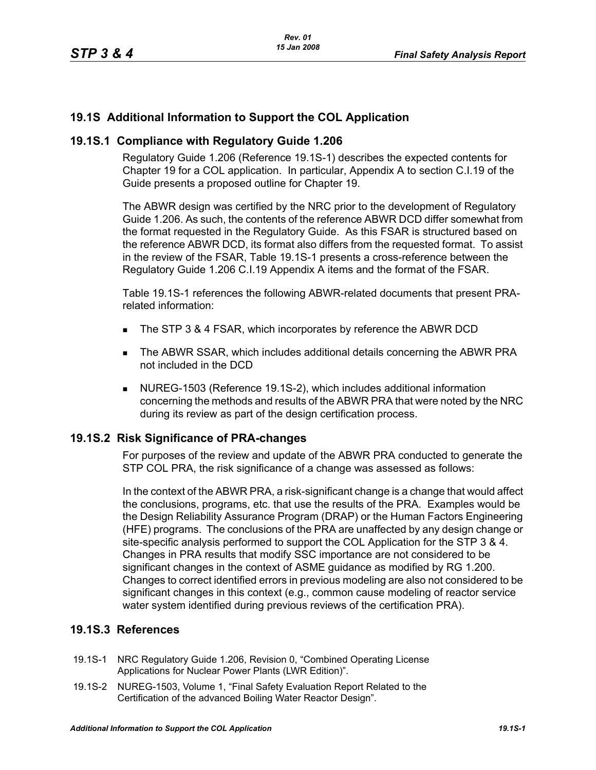# **19.1S Additional Information to Support the COL Application**

## **19.1S.1 Compliance with Regulatory Guide 1.206**

Regulatory Guide 1.206 (Reference 19.1S-1) describes the expected contents for Chapter 19 for a COL application. In particular, Appendix A to section C.I.19 of the Guide presents a proposed outline for Chapter 19.

The ABWR design was certified by the NRC prior to the development of Regulatory Guide 1.206. As such, the contents of the reference ABWR DCD differ somewhat from the format requested in the Regulatory Guide. As this FSAR is structured based on the reference ABWR DCD, its format also differs from the requested format. To assist in the review of the FSAR, Table 19.1S-1 presents a cross-reference between the Regulatory Guide 1.206 C.I.19 Appendix A items and the format of the FSAR.

Table 19.1S-1 references the following ABWR-related documents that present PRArelated information:

- The STP 3 & 4 FSAR, which incorporates by reference the ABWR DCD
- The ABWR SSAR, which includes additional details concerning the ABWR PRA not included in the DCD
- NUREG-1503 (Reference 19.1S-2), which includes additional information concerning the methods and results of the ABWR PRA that were noted by the NRC during its review as part of the design certification process.

### **19.1S.2 Risk Significance of PRA-changes**

For purposes of the review and update of the ABWR PRA conducted to generate the STP COL PRA, the risk significance of a change was assessed as follows:

In the context of the ABWR PRA, a risk-significant change is a change that would affect the conclusions, programs, etc. that use the results of the PRA. Examples would be the Design Reliability Assurance Program (DRAP) or the Human Factors Engineering (HFE) programs. The conclusions of the PRA are unaffected by any design change or site-specific analysis performed to support the COL Application for the STP 3 & 4. Changes in PRA results that modify SSC importance are not considered to be significant changes in the context of ASME guidance as modified by RG 1.200. Changes to correct identified errors in previous modeling are also not considered to be significant changes in this context (e.g., common cause modeling of reactor service water system identified during previous reviews of the certification PRA).

# **19.1S.3 References**

- 19.1S-1 NRC Regulatory Guide 1.206, Revision 0, "Combined Operating License Applications for Nuclear Power Plants (LWR Edition)".
- 19.1S-2 NUREG-1503, Volume 1, "Final Safety Evaluation Report Related to the Certification of the advanced Boiling Water Reactor Design".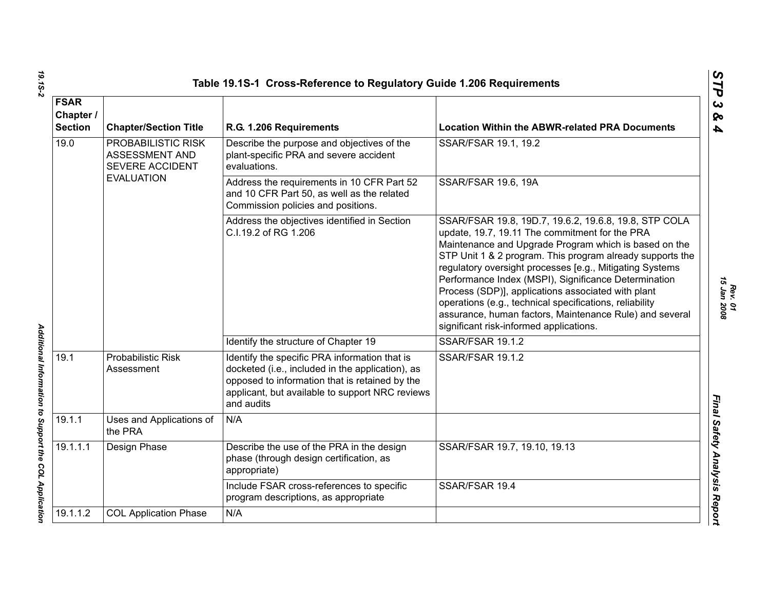|                                            |                                                         | Table 19.1S-1 Cross-Reference to Regulatory Guide 1.206 Requirements                                                                                                                                                 |                                                                                                                                                                                                                                                                                                                                                                                                                                                                                                                                                                          |
|--------------------------------------------|---------------------------------------------------------|----------------------------------------------------------------------------------------------------------------------------------------------------------------------------------------------------------------------|--------------------------------------------------------------------------------------------------------------------------------------------------------------------------------------------------------------------------------------------------------------------------------------------------------------------------------------------------------------------------------------------------------------------------------------------------------------------------------------------------------------------------------------------------------------------------|
| <b>FSAR</b><br>Chapter /<br><b>Section</b> | <b>Chapter/Section Title</b>                            | R.G. 1.206 Requirements                                                                                                                                                                                              | <b>Location Within the ABWR-related PRA Documents</b>                                                                                                                                                                                                                                                                                                                                                                                                                                                                                                                    |
| 19.0<br><b>EVALUATION</b>                  | PROBABILISTIC RISK<br>ASSESSMENT AND<br>SEVERE ACCIDENT | Describe the purpose and objectives of the<br>plant-specific PRA and severe accident<br>evaluations.                                                                                                                 | SSAR/FSAR 19.1, 19.2                                                                                                                                                                                                                                                                                                                                                                                                                                                                                                                                                     |
|                                            |                                                         | Address the requirements in 10 CFR Part 52<br>and 10 CFR Part 50, as well as the related<br>Commission policies and positions.                                                                                       | <b>SSAR/FSAR 19.6, 19A</b>                                                                                                                                                                                                                                                                                                                                                                                                                                                                                                                                               |
|                                            |                                                         | Address the objectives identified in Section<br>C.I.19.2 of RG 1.206                                                                                                                                                 | SSAR/FSAR 19.8, 19D.7, 19.6.2, 19.6.8, 19.8, STP COLA<br>update, 19.7, 19.11 The commitment for the PRA<br>Maintenance and Upgrade Program which is based on the<br>STP Unit 1 & 2 program. This program already supports the<br>regulatory oversight processes [e.g., Mitigating Systems<br>Performance Index (MSPI), Significance Determination<br>Process (SDP)], applications associated with plant<br>operations (e.g., technical specifications, reliability<br>assurance, human factors, Maintenance Rule) and several<br>significant risk-informed applications. |
|                                            |                                                         | Identify the structure of Chapter 19                                                                                                                                                                                 | <b>SSAR/FSAR 19.1.2</b>                                                                                                                                                                                                                                                                                                                                                                                                                                                                                                                                                  |
| 19.1                                       | <b>Probabilistic Risk</b><br>Assessment                 | Identify the specific PRA information that is<br>docketed (i.e., included in the application), as<br>opposed to information that is retained by the<br>applicant, but available to support NRC reviews<br>and audits | <b>SSAR/FSAR 19.1.2</b>                                                                                                                                                                                                                                                                                                                                                                                                                                                                                                                                                  |
| 19.1.1                                     | Uses and Applications of<br>the PRA                     | N/A                                                                                                                                                                                                                  |                                                                                                                                                                                                                                                                                                                                                                                                                                                                                                                                                                          |
| 19.1.1.1                                   | Design Phase                                            | Describe the use of the PRA in the design<br>phase (through design certification, as<br>appropriate)                                                                                                                 | SSAR/FSAR 19.7, 19.10, 19.13                                                                                                                                                                                                                                                                                                                                                                                                                                                                                                                                             |
|                                            |                                                         | Include FSAR cross-references to specific<br>program descriptions, as appropriate                                                                                                                                    | SSAR/FSAR 19.4                                                                                                                                                                                                                                                                                                                                                                                                                                                                                                                                                           |
| 19.1.1.2                                   | <b>COL Application Phase</b>                            | N/A                                                                                                                                                                                                                  |                                                                                                                                                                                                                                                                                                                                                                                                                                                                                                                                                                          |

*Rev. 01*<br>15 Jan 2008 *15 Jan 2008*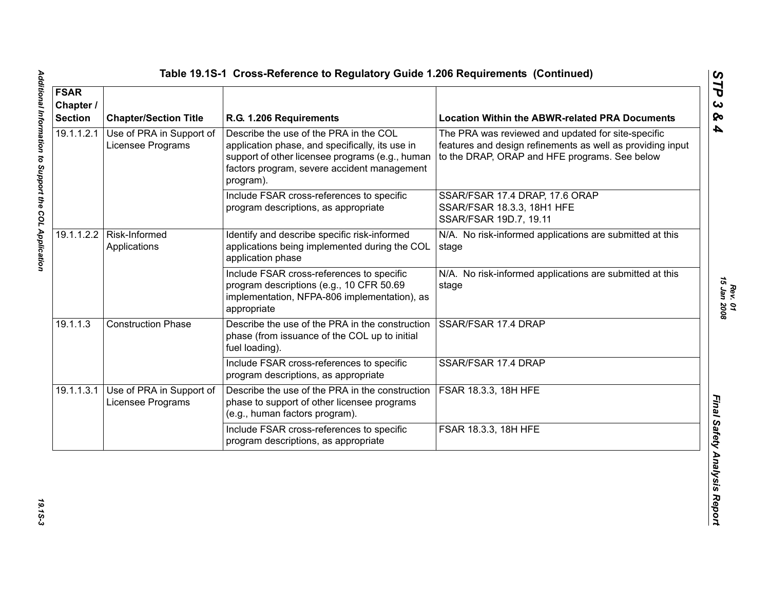| <b>FSAR</b><br>Chapter /<br><b>Section</b> | <b>Chapter/Section Title</b>                                                                                                                                                                                                                              | R.G. 1.206 Requirements                                                                                                                              | <b>Location Within the ABWR-related PRA Documents</b>                                                                                                             |
|--------------------------------------------|-----------------------------------------------------------------------------------------------------------------------------------------------------------------------------------------------------------------------------------------------------------|------------------------------------------------------------------------------------------------------------------------------------------------------|-------------------------------------------------------------------------------------------------------------------------------------------------------------------|
| 19.1.1.2.1                                 | Describe the use of the PRA in the COL<br>Use of PRA in Support of<br>Licensee Programs<br>application phase, and specifically, its use in<br>support of other licensee programs (e.g., human<br>factors program, severe accident management<br>program). |                                                                                                                                                      | The PRA was reviewed and updated for site-specific<br>features and design refinements as well as providing input<br>to the DRAP, ORAP and HFE programs. See below |
|                                            |                                                                                                                                                                                                                                                           | Include FSAR cross-references to specific<br>program descriptions, as appropriate                                                                    | SSAR/FSAR 17.4 DRAP, 17.6 ORAP<br>SSAR/FSAR 18.3.3, 18H1 HFE<br>SSAR/FSAR 19D.7, 19.11                                                                            |
|                                            | 19.1.1.2.2   Risk-Informed<br>Applications                                                                                                                                                                                                                | Identify and describe specific risk-informed<br>applications being implemented during the COL<br>application phase                                   | N/A. No risk-informed applications are submitted at this<br>stage                                                                                                 |
|                                            |                                                                                                                                                                                                                                                           | Include FSAR cross-references to specific<br>program descriptions (e.g., 10 CFR 50.69<br>implementation, NFPA-806 implementation), as<br>appropriate | N/A. No risk-informed applications are submitted at this<br>stage                                                                                                 |
| 19.1.1.3                                   | <b>Construction Phase</b>                                                                                                                                                                                                                                 | Describe the use of the PRA in the construction<br>phase (from issuance of the COL up to initial<br>fuel loading).                                   | SSAR/FSAR 17.4 DRAP                                                                                                                                               |
|                                            |                                                                                                                                                                                                                                                           | Include FSAR cross-references to specific<br>program descriptions, as appropriate                                                                    | SSAR/FSAR 17.4 DRAP                                                                                                                                               |
| 19.1.1.3.1                                 | Use of PRA in Support of<br>Licensee Programs                                                                                                                                                                                                             | Describe the use of the PRA in the construction<br>phase to support of other licensee programs<br>(e.g., human factors program).                     | FSAR 18.3.3, 18H HFE                                                                                                                                              |
|                                            |                                                                                                                                                                                                                                                           | Include FSAR cross-references to specific<br>program descriptions, as appropriate                                                                    | FSAR 18.3.3, 18H HFE                                                                                                                                              |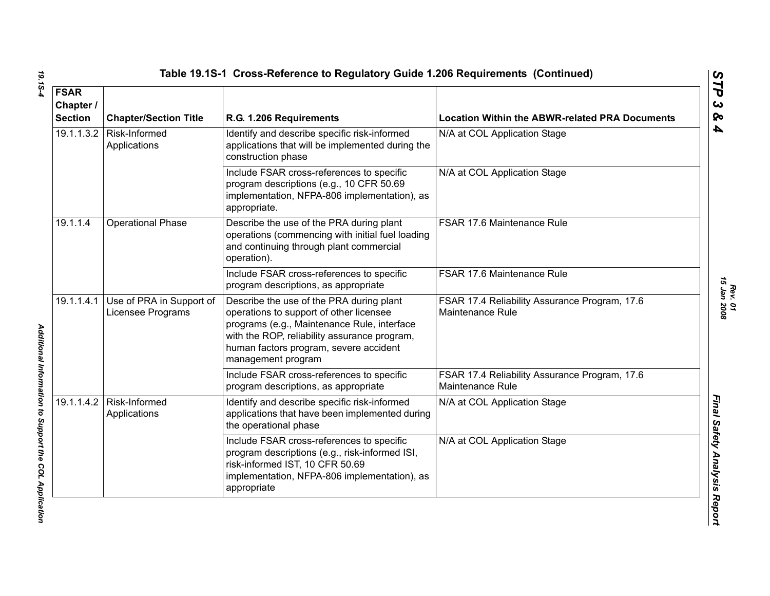| <b>FSAR</b><br>Chapter /<br><b>Section</b> | <b>Chapter/Section Title</b>                  | R.G. 1.206 Requirements                                                                                                                                                                                                                            | <b>Location Within the ABWR-related PRA Documents</b>             |
|--------------------------------------------|-----------------------------------------------|----------------------------------------------------------------------------------------------------------------------------------------------------------------------------------------------------------------------------------------------------|-------------------------------------------------------------------|
| 19.1.1.3.2                                 | Risk-Informed<br>Applications                 | Identify and describe specific risk-informed<br>applications that will be implemented during the<br>construction phase                                                                                                                             | N/A at COL Application Stage                                      |
|                                            |                                               | Include FSAR cross-references to specific<br>program descriptions (e.g., 10 CFR 50.69<br>implementation, NFPA-806 implementation), as<br>appropriate.                                                                                              | N/A at COL Application Stage                                      |
| 19.1.1.4                                   | <b>Operational Phase</b>                      | Describe the use of the PRA during plant<br>operations (commencing with initial fuel loading<br>and continuing through plant commercial<br>operation).                                                                                             | FSAR 17.6 Maintenance Rule                                        |
|                                            |                                               | Include FSAR cross-references to specific<br>program descriptions, as appropriate                                                                                                                                                                  | FSAR 17.6 Maintenance Rule                                        |
| 19.1.1.4.1                                 | Use of PRA in Support of<br>Licensee Programs | Describe the use of the PRA during plant<br>operations to support of other licensee<br>programs (e.g., Maintenance Rule, interface<br>with the ROP, reliability assurance program,<br>human factors program, severe accident<br>management program | FSAR 17.4 Reliability Assurance Program, 17.6<br>Maintenance Rule |
|                                            |                                               | Include FSAR cross-references to specific<br>program descriptions, as appropriate                                                                                                                                                                  | FSAR 17.4 Reliability Assurance Program, 17.6<br>Maintenance Rule |
| 19.1.1.4.2                                 | Risk-Informed<br>Applications                 | Identify and describe specific risk-informed<br>applications that have been implemented during<br>the operational phase                                                                                                                            | N/A at COL Application Stage                                      |
|                                            |                                               | Include FSAR cross-references to specific<br>program descriptions (e.g., risk-informed ISI,<br>risk-informed IST, 10 CFR 50.69<br>implementation, NFPA-806 implementation), as<br>appropriate                                                      | N/A at COL Application Stage                                      |

*STP 3 & 4*

19.15-4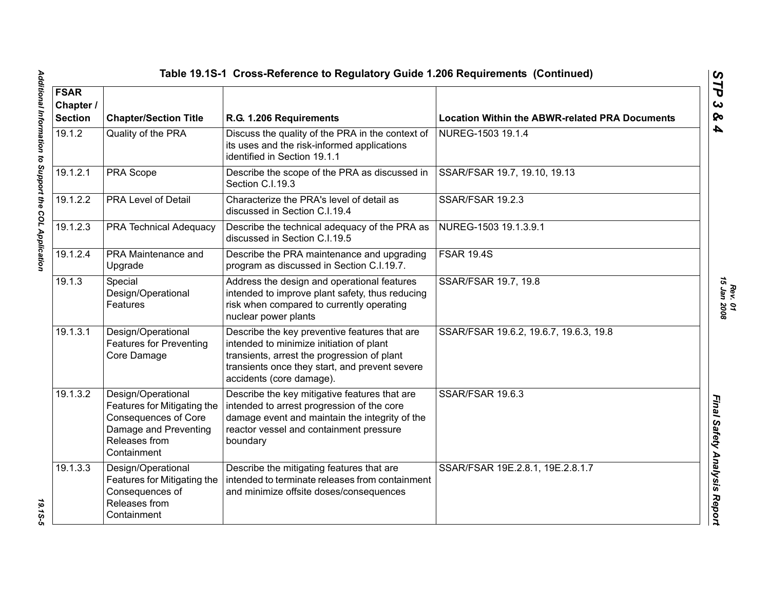*Rev. 01*<br>15 Jan 2008 *15 Jan 2008*

| Table 19.1S-1 Cross-Reference to Regulatory Guide 1.206 Requirements (Continued) |                                                                                                                                           |                                                                                                                                                                                                                        |                                                       |
|----------------------------------------------------------------------------------|-------------------------------------------------------------------------------------------------------------------------------------------|------------------------------------------------------------------------------------------------------------------------------------------------------------------------------------------------------------------------|-------------------------------------------------------|
| <b>FSAR</b><br>Chapter /<br><b>Section</b>                                       | <b>Chapter/Section Title</b>                                                                                                              | R.G. 1.206 Requirements                                                                                                                                                                                                | <b>Location Within the ABWR-related PRA Documents</b> |
| 19.1.2                                                                           | Quality of the PRA                                                                                                                        | Discuss the quality of the PRA in the context of<br>its uses and the risk-informed applications<br>identified in Section 19.1.1                                                                                        | NUREG-1503 19.1.4                                     |
| 19.1.2.1                                                                         | PRA Scope                                                                                                                                 | Describe the scope of the PRA as discussed in<br>Section C.I.19.3                                                                                                                                                      | SSAR/FSAR 19.7, 19.10, 19.13                          |
| 19.1.2.2                                                                         | <b>PRA Level of Detail</b>                                                                                                                | Characterize the PRA's level of detail as<br>discussed in Section C.I.19.4                                                                                                                                             | <b>SSAR/FSAR 19.2.3</b>                               |
| 19.1.2.3                                                                         | PRA Technical Adequacy                                                                                                                    | Describe the technical adequacy of the PRA as<br>discussed in Section C.I.19.5                                                                                                                                         | NUREG-1503 19.1.3.9.1                                 |
| 19.1.2.4                                                                         | PRA Maintenance and<br>Upgrade                                                                                                            | Describe the PRA maintenance and upgrading<br>program as discussed in Section C.I.19.7.                                                                                                                                | <b>FSAR 19.4S</b>                                     |
| 19.1.3                                                                           | Special<br>Design/Operational<br>Features                                                                                                 | Address the design and operational features<br>intended to improve plant safety, thus reducing<br>risk when compared to currently operating<br>nuclear power plants                                                    | SSAR/FSAR 19.7, 19.8                                  |
| 19.1.3.1                                                                         | Design/Operational<br><b>Features for Preventing</b><br>Core Damage                                                                       | Describe the key preventive features that are<br>intended to minimize initiation of plant<br>transients, arrest the progression of plant<br>transients once they start, and prevent severe<br>accidents (core damage). | SSAR/FSAR 19.6.2, 19.6.7, 19.6.3, 19.8                |
| 19.1.3.2                                                                         | Design/Operational<br>Features for Mitigating the<br><b>Consequences of Core</b><br>Damage and Preventing<br>Releases from<br>Containment | Describe the key mitigative features that are<br>intended to arrest progression of the core<br>damage event and maintain the integrity of the<br>reactor vessel and containment pressure<br>boundary                   | SSAR/FSAR 19.6.3                                      |
| 19.1.3.3                                                                         | Design/Operational<br>Features for Mitigating the<br>Consequences of<br>Releases from<br>Containment                                      | Describe the mitigating features that are<br>intended to terminate releases from containment<br>and minimize offsite doses/consequences                                                                                | SSAR/FSAR 19E.2.8.1, 19E.2.8.1.7                      |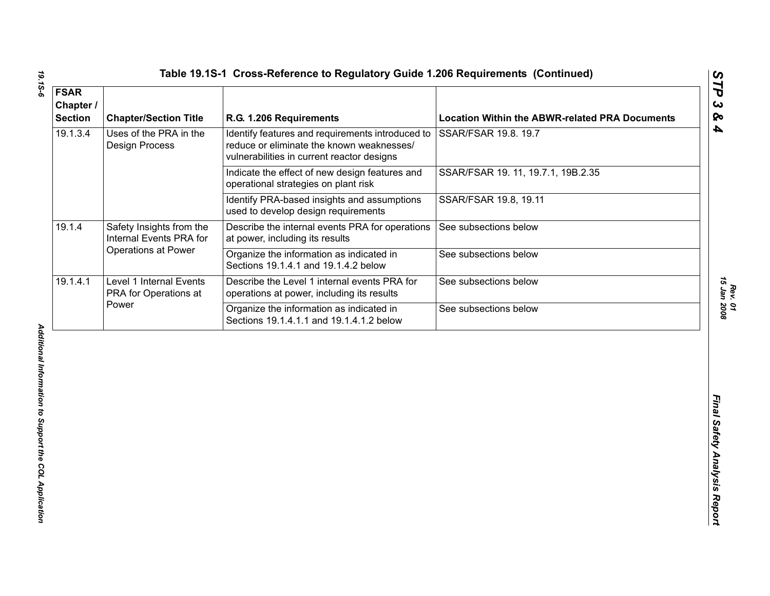| <b>Chapter/Section Title</b>                              | R.G. 1.206 Requirements                                                                                                                     | <b>Location Within the ABWR-related PRA Documents</b> |
|-----------------------------------------------------------|---------------------------------------------------------------------------------------------------------------------------------------------|-------------------------------------------------------|
| Uses of the PRA in the<br><b>Design Process</b>           | Identify features and requirements introduced to<br>reduce or eliminate the known weaknesses/<br>vulnerabilities in current reactor designs | SSAR/FSAR 19.8. 19.7                                  |
|                                                           | Indicate the effect of new design features and<br>operational strategies on plant risk                                                      | SSAR/FSAR 19. 11, 19.7.1, 19B.2.35                    |
|                                                           | Identify PRA-based insights and assumptions<br>used to develop design requirements                                                          | SSAR/FSAR 19.8, 19.11                                 |
| Safety Insights from the<br>Internal Events PRA for       | Describe the internal events PRA for operations<br>at power, including its results                                                          | See subsections below                                 |
|                                                           | Organize the information as indicated in<br>Sections 19.1.4.1 and 19.1.4.2 below                                                            | See subsections below                                 |
| Level 1 Internal Events<br>PRA for Operations at<br>Power | Describe the Level 1 internal events PRA for<br>operations at power, including its results                                                  | See subsections below                                 |
|                                                           | Organize the information as indicated in<br>Sections 19.1.4.1.1 and 19.1.4.1.2 below                                                        | See subsections below                                 |
|                                                           |                                                                                                                                             |                                                       |
|                                                           | Operations at Power                                                                                                                         |                                                       |

*Rev. 01<br>15 Jan 2008 15 Jan 2008*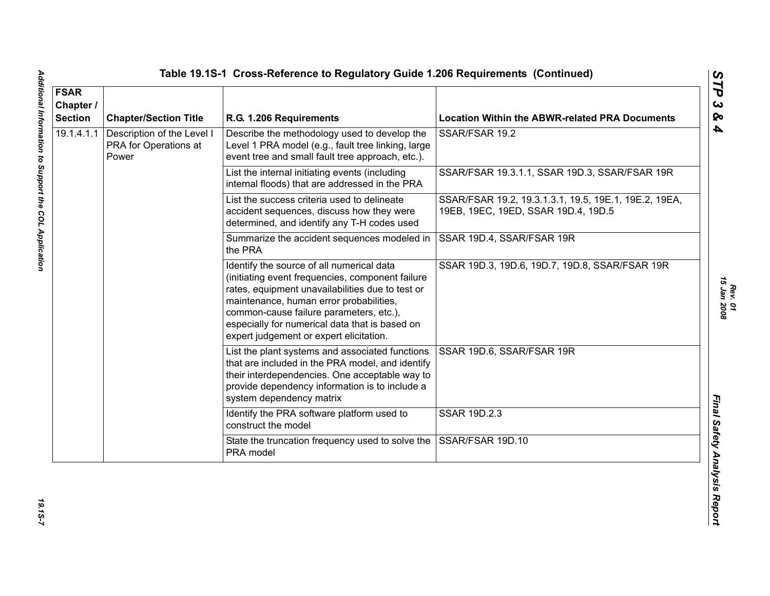| <b>FSAR</b><br>Chapter /<br><b>Section</b> | <b>Chapter/Section Title</b>                                 | R.G. 1.206 Requirements                                                                                                                                                                                                                                                                                                              | <b>Location Within the ABWR-related PRA Documents</b>                                        |
|--------------------------------------------|--------------------------------------------------------------|--------------------------------------------------------------------------------------------------------------------------------------------------------------------------------------------------------------------------------------------------------------------------------------------------------------------------------------|----------------------------------------------------------------------------------------------|
| 19.1.4.1.1                                 | Description of the Level I<br>PRA for Operations at<br>Power | Describe the methodology used to develop the<br>Level 1 PRA model (e.g., fault tree linking, large<br>event tree and small fault tree approach, etc.).                                                                                                                                                                               | SSAR/FSAR 19.2                                                                               |
|                                            |                                                              | List the internal initiating events (including<br>internal floods) that are addressed in the PRA                                                                                                                                                                                                                                     | SSAR/FSAR 19.3.1.1, SSAR 19D.3, SSAR/FSAR 19R                                                |
|                                            |                                                              | List the success criteria used to delineate<br>accident sequences, discuss how they were<br>determined, and identify any T-H codes used                                                                                                                                                                                              | SSAR/FSAR 19.2, 19.3.1.3.1, 19.5, 19E.1, 19E.2, 19EA,<br>19EB, 19EC, 19ED, SSAR 19D.4, 19D.5 |
|                                            |                                                              | Summarize the accident sequences modeled in<br>the PRA                                                                                                                                                                                                                                                                               | SSAR 19D.4, SSAR/FSAR 19R                                                                    |
|                                            |                                                              | Identify the source of all numerical data<br>(initiating event frequencies, component failure<br>rates, equipment unavailabilities due to test or<br>maintenance, human error probabilities,<br>common-cause failure parameters, etc.),<br>especially for numerical data that is based on<br>expert judgement or expert elicitation. | SSAR 19D.3, 19D.6, 19D.7, 19D.8, SSAR/FSAR 19R                                               |
|                                            |                                                              | List the plant systems and associated functions<br>that are included in the PRA model, and identify<br>their interdependencies. One acceptable way to<br>provide dependency information is to include a<br>system dependency matrix                                                                                                  | SSAR 19D.6, SSAR/FSAR 19R                                                                    |
|                                            |                                                              | Identify the PRA software platform used to<br>construct the model                                                                                                                                                                                                                                                                    | SSAR 19D.2.3                                                                                 |
|                                            |                                                              | State the truncation frequency used to solve the<br>PRA model                                                                                                                                                                                                                                                                        | SSAR/FSAR 19D.10                                                                             |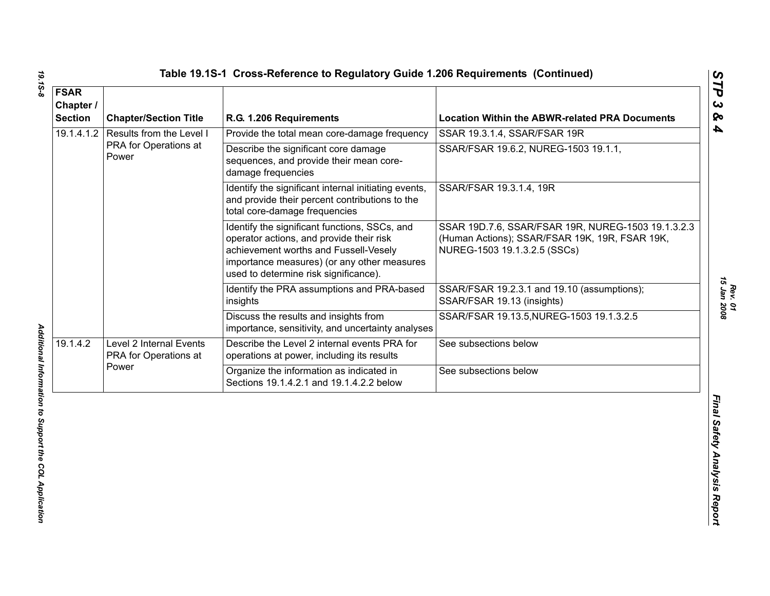| <b>FSAR</b><br>Chapter /<br><b>Section</b> | <b>Chapter/Section Title</b>                               | R.G. 1.206 Requirements                                                                                                                                                                                                    | <b>Location Within the ABWR-related PRA Documents</b>                                                                                |
|--------------------------------------------|------------------------------------------------------------|----------------------------------------------------------------------------------------------------------------------------------------------------------------------------------------------------------------------------|--------------------------------------------------------------------------------------------------------------------------------------|
| 19.1.4.1.2                                 | Results from the Level I<br>PRA for Operations at<br>Power | Provide the total mean core-damage frequency                                                                                                                                                                               | SSAR 19.3.1.4, SSAR/FSAR 19R                                                                                                         |
|                                            |                                                            | Describe the significant core damage<br>sequences, and provide their mean core-<br>damage frequencies                                                                                                                      | SSAR/FSAR 19.6.2, NUREG-1503 19.1.1,                                                                                                 |
|                                            |                                                            | Identify the significant internal initiating events,<br>and provide their percent contributions to the<br>total core-damage frequencies                                                                                    | SSAR/FSAR 19.3.1.4, 19R                                                                                                              |
|                                            |                                                            | Identify the significant functions, SSCs, and<br>operator actions, and provide their risk<br>achievement worths and Fussell-Vesely<br>importance measures) (or any other measures<br>used to determine risk significance). | SSAR 19D.7.6, SSAR/FSAR 19R, NUREG-1503 19.1.3.2.3<br>(Human Actions); SSAR/FSAR 19K, 19R, FSAR 19K,<br>NUREG-1503 19.1.3.2.5 (SSCs) |
|                                            |                                                            | Identify the PRA assumptions and PRA-based<br>insights                                                                                                                                                                     | SSAR/FSAR 19.2.3.1 and 19.10 (assumptions);<br>SSAR/FSAR 19.13 (insights)                                                            |
|                                            |                                                            | Discuss the results and insights from<br>importance, sensitivity, and uncertainty analyses                                                                                                                                 | SSAR/FSAR 19.13.5, NUREG-1503 19.1.3.2.5                                                                                             |
| 19.1.4.2                                   | Level 2 Internal Events<br>PRA for Operations at<br>Power  | Describe the Level 2 internal events PRA for<br>operations at power, including its results                                                                                                                                 | See subsections below                                                                                                                |
|                                            |                                                            | Organize the information as indicated in<br>Sections 19.1.4.2.1 and 19.1.4.2.2 below                                                                                                                                       | See subsections below                                                                                                                |
|                                            |                                                            |                                                                                                                                                                                                                            |                                                                                                                                      |

19.15-8

*Rev. 01*<br>15 Jan 2008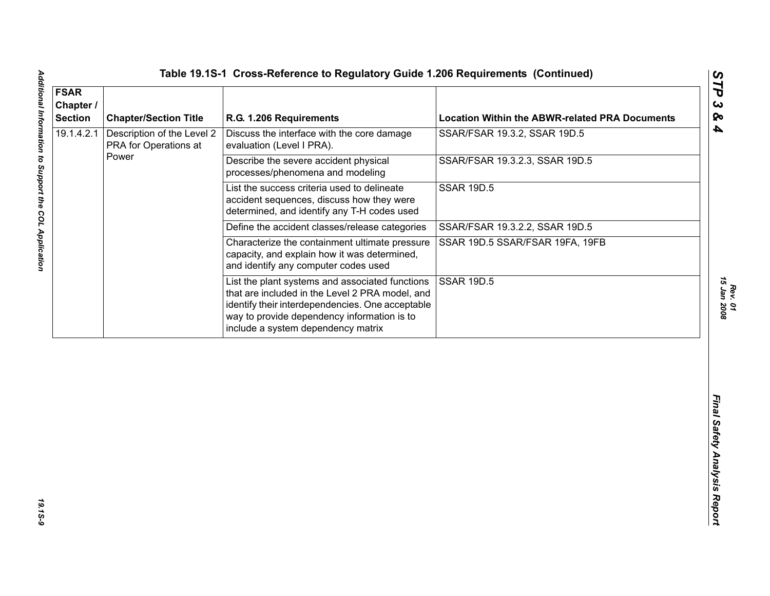| 19.1.4.2.1 | <b>Chapter/Section Title</b>                        | R.G. 1.206 Requirements                                                                                                                                                                                                                     | <b>Location Within the ABWR-related PRA Documents</b> |
|------------|-----------------------------------------------------|---------------------------------------------------------------------------------------------------------------------------------------------------------------------------------------------------------------------------------------------|-------------------------------------------------------|
|            | Description of the Level 2<br>PRA for Operations at | Discuss the interface with the core damage<br>evaluation (Level I PRA).                                                                                                                                                                     | SSAR/FSAR 19.3.2, SSAR 19D.5                          |
|            | Power                                               | Describe the severe accident physical<br>processes/phenomena and modeling                                                                                                                                                                   | SSAR/FSAR 19.3.2.3, SSAR 19D.5                        |
|            |                                                     | List the success criteria used to delineate<br>accident sequences, discuss how they were<br>determined, and identify any T-H codes used                                                                                                     | <b>SSAR 19D.5</b>                                     |
|            |                                                     | Define the accident classes/release categories                                                                                                                                                                                              | SSAR/FSAR 19.3.2.2, SSAR 19D.5                        |
|            |                                                     | Characterize the containment ultimate pressure<br>capacity, and explain how it was determined,<br>and identify any computer codes used                                                                                                      | SSAR 19D.5 SSAR/FSAR 19FA, 19FB                       |
|            |                                                     | List the plant systems and associated functions<br>that are included in the Level 2 PRA model, and<br>identify their interdependencies. One acceptable<br>way to provide dependency information is to<br>include a system dependency matrix | <b>SSAR 19D.5</b>                                     |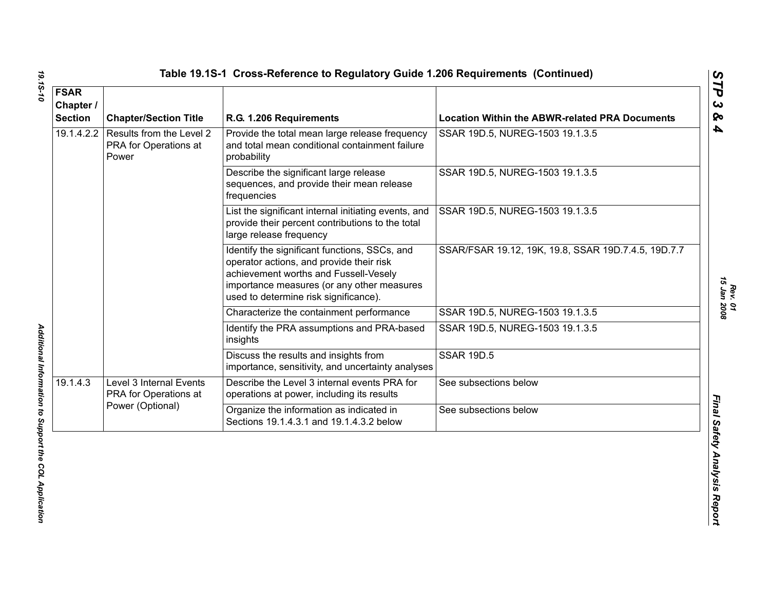| <b>FSAR</b><br>Chapter /<br><b>Section</b> | <b>Chapter/Section Title</b>                                         | R.G. 1.206 Requirements                                                                                                                                                                                                   | <b>Location Within the ABWR-related PRA Documents</b> |
|--------------------------------------------|----------------------------------------------------------------------|---------------------------------------------------------------------------------------------------------------------------------------------------------------------------------------------------------------------------|-------------------------------------------------------|
| 19.1.4.2.2                                 | Results from the Level 2<br>PRA for Operations at<br>Power           | Provide the total mean large release frequency<br>and total mean conditional containment failure<br>probability                                                                                                           | SSAR 19D.5, NUREG-1503 19.1.3.5                       |
|                                            |                                                                      | Describe the significant large release<br>sequences, and provide their mean release<br>frequencies                                                                                                                        | SSAR 19D.5, NUREG-1503 19.1.3.5                       |
|                                            |                                                                      | List the significant internal initiating events, and<br>provide their percent contributions to the total<br>large release frequency                                                                                       | SSAR 19D.5, NUREG-1503 19.1.3.5                       |
|                                            |                                                                      | Identify the significant functions, SSCs, and<br>operator actions, and provide their risk<br>achievement worths and Fussell-Vesely<br>importance measures (or any other measures<br>used to determine risk significance). | SSAR/FSAR 19.12, 19K, 19.8, SSAR 19D.7.4.5, 19D.7.7   |
|                                            |                                                                      | Characterize the containment performance                                                                                                                                                                                  | SSAR 19D.5, NUREG-1503 19.1.3.5                       |
|                                            |                                                                      | Identify the PRA assumptions and PRA-based<br>insights                                                                                                                                                                    | SSAR 19D.5, NUREG-1503 19.1.3.5                       |
|                                            |                                                                      | Discuss the results and insights from<br>importance, sensitivity, and uncertainty analyses                                                                                                                                | <b>SSAR 19D.5</b>                                     |
| 19.1.4.3                                   | Level 3 Internal Events<br>PRA for Operations at<br>Power (Optional) | Describe the Level 3 internal events PRA for<br>operations at power, including its results                                                                                                                                | See subsections below                                 |
|                                            |                                                                      | Organize the information as indicated in<br>Sections 19.1.4.3.1 and 19.1.4.3.2 below                                                                                                                                      | See subsections below                                 |

19.15-10

*Rev. 01*<br>15 Jan 2008 *15 Jan 2008*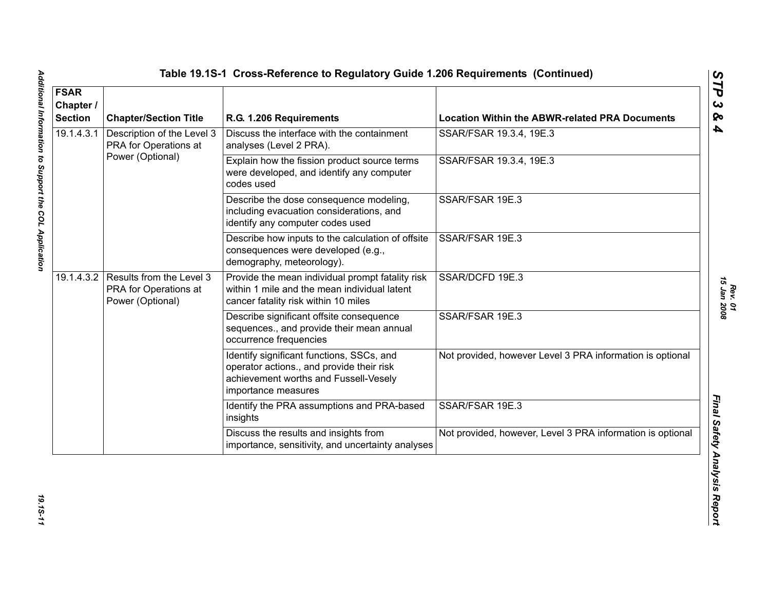| <b>FSAR</b><br>Chapter /<br><b>Section</b> | <b>Chapter/Section Title</b>                                                     | R.G. 1.206 Requirements                                                                                                                                | <b>Location Within the ABWR-related PRA Documents</b>      |
|--------------------------------------------|----------------------------------------------------------------------------------|--------------------------------------------------------------------------------------------------------------------------------------------------------|------------------------------------------------------------|
| 19.1.4.3.1                                 | Description of the Level 3<br>PRA for Operations at<br>Power (Optional)          | Discuss the interface with the containment<br>analyses (Level 2 PRA).                                                                                  | SSAR/FSAR 19.3.4, 19E.3                                    |
|                                            |                                                                                  | Explain how the fission product source terms<br>were developed, and identify any computer<br>codes used                                                | SSAR/FSAR 19.3.4, 19E.3                                    |
|                                            |                                                                                  | Describe the dose consequence modeling,<br>including evacuation considerations, and<br>identify any computer codes used                                | SSAR/FSAR 19E.3                                            |
|                                            |                                                                                  | Describe how inputs to the calculation of offsite<br>consequences were developed (e.g.,<br>demography, meteorology).                                   | SSAR/FSAR 19E.3                                            |
|                                            | 19.1.4.3.2 Results from the Level 3<br>PRA for Operations at<br>Power (Optional) | Provide the mean individual prompt fatality risk<br>within 1 mile and the mean individual latent<br>cancer fatality risk within 10 miles               | SSAR/DCFD 19E.3                                            |
|                                            |                                                                                  | Describe significant offsite consequence<br>sequences., and provide their mean annual<br>occurrence frequencies                                        | SSAR/FSAR 19E.3                                            |
|                                            |                                                                                  | Identify significant functions, SSCs, and<br>operator actions., and provide their risk<br>achievement worths and Fussell-Vesely<br>importance measures | Not provided, however Level 3 PRA information is optional  |
|                                            |                                                                                  | Identify the PRA assumptions and PRA-based<br>insights                                                                                                 | SSAR/FSAR 19E.3                                            |
|                                            |                                                                                  | Discuss the results and insights from<br>importance, sensitivity, and uncertainty analyses                                                             | Not provided, however, Level 3 PRA information is optional |

19.15-11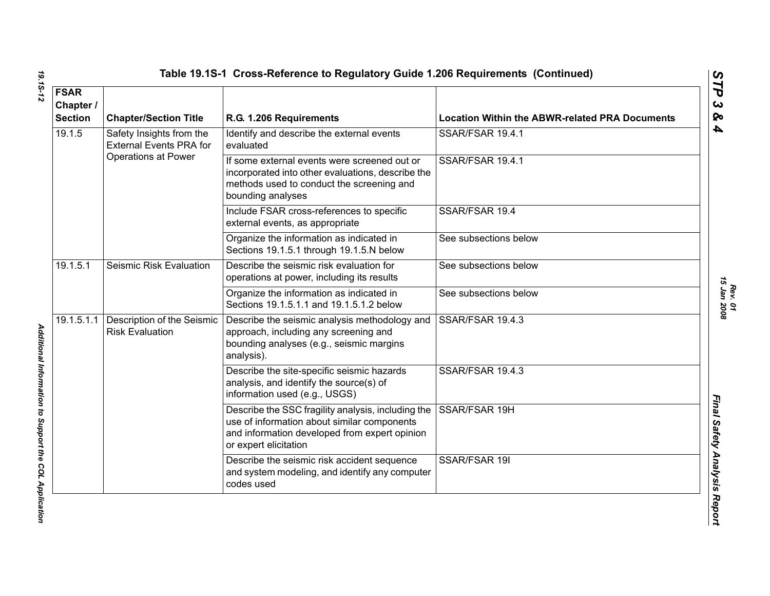|  |  |  | Table 19.1S-1  Cross-Reference to Regulatory Guide 1.206 Requirements  (Continue |  |
|--|--|--|----------------------------------------------------------------------------------|--|
|--|--|--|----------------------------------------------------------------------------------|--|

| <b>FSAR</b>                 |                                                            |                                                                                                                                                                             |                                                       |
|-----------------------------|------------------------------------------------------------|-----------------------------------------------------------------------------------------------------------------------------------------------------------------------------|-------------------------------------------------------|
| Chapter /<br><b>Section</b> | <b>Chapter/Section Title</b>                               | R.G. 1.206 Requirements                                                                                                                                                     | <b>Location Within the ABWR-related PRA Documents</b> |
| 19.1.5                      | Safety Insights from the<br><b>External Events PRA for</b> | Identify and describe the external events<br>evaluated                                                                                                                      | SSAR/FSAR 19.4.1                                      |
|                             | <b>Operations at Power</b>                                 | If some external events were screened out or<br>incorporated into other evaluations, describe the<br>methods used to conduct the screening and<br>bounding analyses         | SSAR/FSAR 19.4.1                                      |
|                             |                                                            | Include FSAR cross-references to specific<br>external events, as appropriate                                                                                                | SSAR/FSAR 19.4                                        |
|                             |                                                            | Organize the information as indicated in<br>Sections 19.1.5.1 through 19.1.5.N below                                                                                        | See subsections below                                 |
| 19.1.5.1                    | Seismic Risk Evaluation                                    | Describe the seismic risk evaluation for<br>operations at power, including its results                                                                                      | See subsections below                                 |
|                             |                                                            | Organize the information as indicated in<br>Sections 19.1.5.1.1 and 19.1.5.1.2 below                                                                                        | See subsections below                                 |
| 19.1.5.1.1                  | Description of the Seismic<br><b>Risk Evaluation</b>       | Describe the seismic analysis methodology and<br>approach, including any screening and<br>bounding analyses (e.g., seismic margins<br>analysis).                            | SSAR/FSAR 19.4.3                                      |
|                             |                                                            | Describe the site-specific seismic hazards<br>analysis, and identify the source(s) of<br>information used (e.g., USGS)                                                      | SSAR/FSAR 19.4.3                                      |
|                             |                                                            | Describe the SSC fragility analysis, including the<br>use of information about similar components<br>and information developed from expert opinion<br>or expert elicitation | SSAR/FSAR 19H                                         |
|                             |                                                            | Describe the seismic risk accident sequence<br>and system modeling, and identify any computer<br>codes used                                                                 | SSAR/FSAR 19I                                         |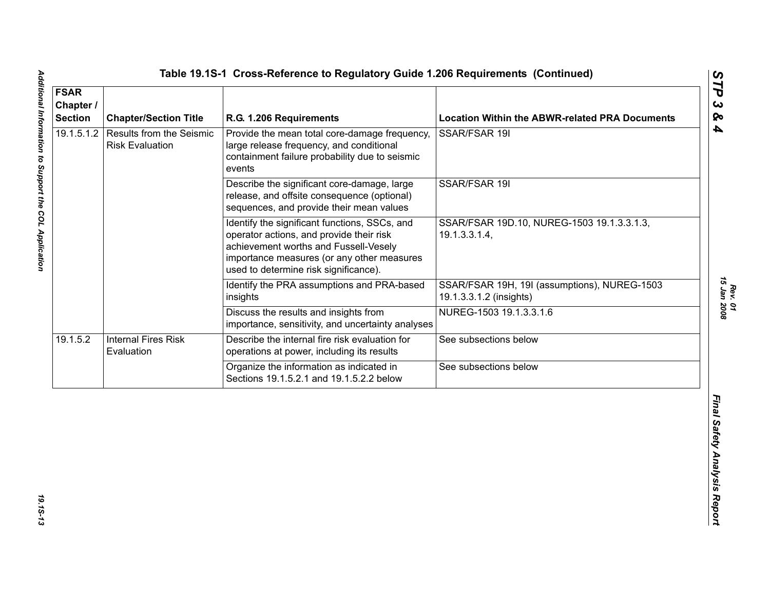| <b>FSAR</b><br>Chapter /<br><b>Section</b> | <b>Chapter/Section Title</b>                              | R.G. 1.206 Requirements                                                                                                                                                                                                   | <b>Location Within the ABWR-related PRA Documents</b>                   |
|--------------------------------------------|-----------------------------------------------------------|---------------------------------------------------------------------------------------------------------------------------------------------------------------------------------------------------------------------------|-------------------------------------------------------------------------|
| 19.1.5.1.2                                 | <b>Results from the Seismic</b><br><b>Risk Evaluation</b> | Provide the mean total core-damage frequency,<br>large release frequency, and conditional<br>containment failure probability due to seismic<br>events                                                                     | SSAR/FSAR 19I                                                           |
|                                            |                                                           | Describe the significant core-damage, large<br>release, and offsite consequence (optional)<br>sequences, and provide their mean values                                                                                    | SSAR/FSAR 19I                                                           |
|                                            |                                                           | Identify the significant functions, SSCs, and<br>operator actions, and provide their risk<br>achievement worths and Fussell-Vesely<br>importance measures (or any other measures<br>used to determine risk significance). | SSAR/FSAR 19D.10, NUREG-1503 19.1.3.3.1.3,<br>19.1.3.3.1.4,             |
|                                            |                                                           | Identify the PRA assumptions and PRA-based<br>insights                                                                                                                                                                    | SSAR/FSAR 19H, 19I (assumptions), NUREG-1503<br>19.1.3.3.1.2 (insights) |
|                                            |                                                           | Discuss the results and insights from<br>importance, sensitivity, and uncertainty analyses                                                                                                                                | NUREG-1503 19.1.3.3.1.6                                                 |
| 19.1.5.2                                   | <b>Internal Fires Risk</b><br>Evaluation                  | Describe the internal fire risk evaluation for<br>operations at power, including its results                                                                                                                              | See subsections below                                                   |
|                                            |                                                           | Organize the information as indicated in<br>Sections 19.1.5.2.1 and 19.1.5.2.2 below                                                                                                                                      | See subsections below                                                   |
|                                            |                                                           |                                                                                                                                                                                                                           |                                                                         |

19.15-13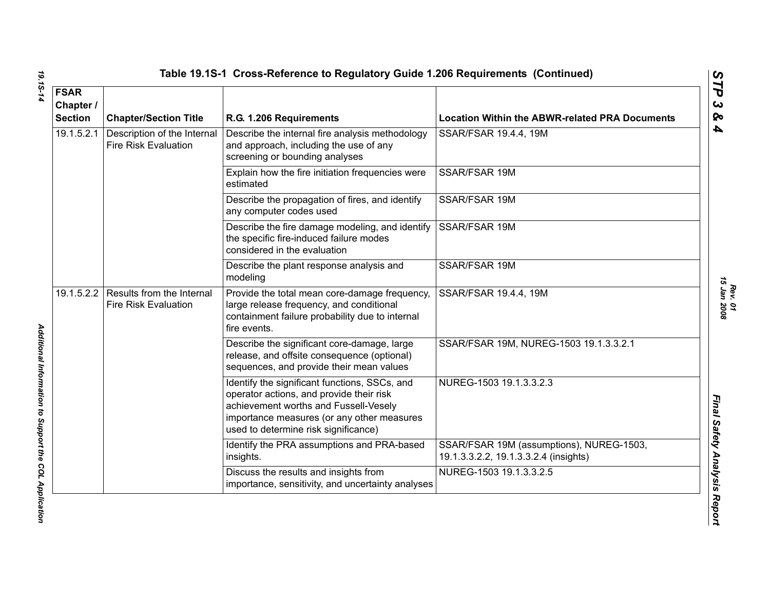|            | <b>FSAR</b><br>Chapter /<br><b>Section</b> | <b>Chapter/Section Title</b>                                                                                                           | R.G. 1.206 Requirements                                                                                                                                                                                                  | <b>Location Within the ABWR-related PRA Documents</b> |
|------------|--------------------------------------------|----------------------------------------------------------------------------------------------------------------------------------------|--------------------------------------------------------------------------------------------------------------------------------------------------------------------------------------------------------------------------|-------------------------------------------------------|
|            | 19.1.5.2.1                                 | Description of the Internal<br><b>Fire Risk Evaluation</b>                                                                             | Describe the internal fire analysis methodology<br>and approach, including the use of any<br>screening or bounding analyses                                                                                              | SSAR/FSAR 19.4.4, 19M                                 |
|            |                                            |                                                                                                                                        | Explain how the fire initiation frequencies were<br>estimated                                                                                                                                                            | SSAR/FSAR 19M                                         |
|            |                                            |                                                                                                                                        | Describe the propagation of fires, and identify<br>any computer codes used                                                                                                                                               | SSAR/FSAR 19M                                         |
|            |                                            |                                                                                                                                        | Describe the fire damage modeling, and identify<br>the specific fire-induced failure modes<br>considered in the evaluation                                                                                               | SSAR/FSAR 19M                                         |
|            |                                            |                                                                                                                                        | Describe the plant response analysis and<br>modeling                                                                                                                                                                     | SSAR/FSAR 19M                                         |
| 19.1.5.2.2 |                                            | Results from the Internal<br><b>Fire Risk Evaluation</b>                                                                               | Provide the total mean core-damage frequency,<br>large release frequency, and conditional<br>containment failure probability due to internal<br>fire events.                                                             | SSAR/FSAR 19.4.4, 19M                                 |
|            |                                            | Describe the significant core-damage, large<br>release, and offsite consequence (optional)<br>sequences, and provide their mean values | SSAR/FSAR 19M, NUREG-1503 19.1.3.3.2.1                                                                                                                                                                                   |                                                       |
|            |                                            |                                                                                                                                        | Identify the significant functions, SSCs, and<br>operator actions, and provide their risk<br>achievement worths and Fussell-Vesely<br>importance measures (or any other measures<br>used to determine risk significance) | NUREG-1503 19.1.3.3.2.3                               |
|            |                                            | Identify the PRA assumptions and PRA-based<br>insights.                                                                                | SSAR/FSAR 19M (assumptions), NUREG-1503,<br>19.1.3.3.2.2, 19.1.3.3.2.4 (insights)                                                                                                                                        |                                                       |
|            |                                            |                                                                                                                                        | Discuss the results and insights from<br>importance, sensitivity, and uncertainty analyses                                                                                                                               | NUREG-1503 19.1.3.3.2.5                               |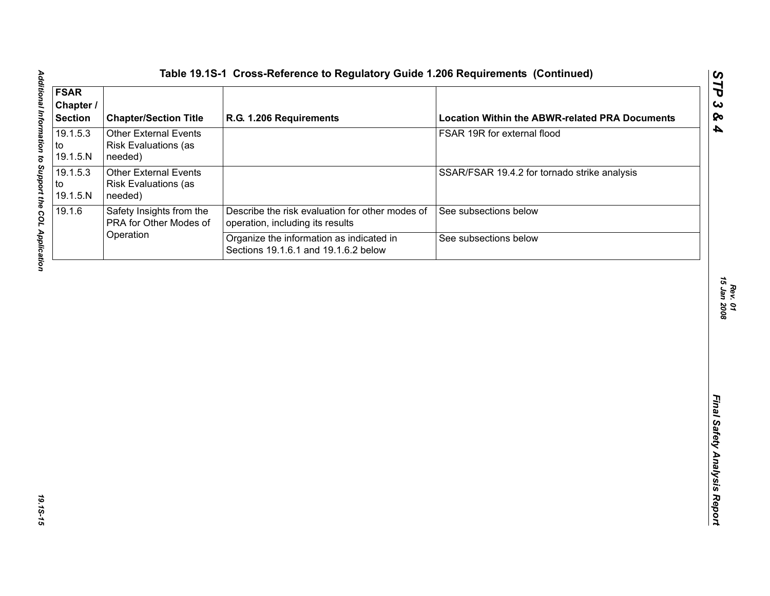| <b>FSAR</b><br>Chapter /<br><b>Section</b> | <b>Chapter/Section Title</b>                                           | R.G. 1.206 Requirements                                                             | <b>Location Within the ABWR-related PRA Documents</b> |
|--------------------------------------------|------------------------------------------------------------------------|-------------------------------------------------------------------------------------|-------------------------------------------------------|
| 19.1.5.3<br>to<br>19.1.5.N                 | <b>Other External Events</b><br><b>Risk Evaluations (as</b><br>needed) |                                                                                     | FSAR 19R for external flood                           |
| 19.1.5.3<br>to<br>19.1.5.N                 | <b>Other External Events</b><br><b>Risk Evaluations (as</b><br>needed) |                                                                                     | SSAR/FSAR 19.4.2 for tornado strike analysis          |
| 19.1.6                                     | Safety Insights from the<br>PRA for Other Modes of                     | Describe the risk evaluation for other modes of<br>operation, including its results | See subsections below                                 |
|                                            | Operation                                                              | Organize the information as indicated in<br>Sections 19.1.6.1 and 19.1.6.2 below    | See subsections below                                 |
|                                            |                                                                        |                                                                                     |                                                       |
|                                            |                                                                        |                                                                                     |                                                       |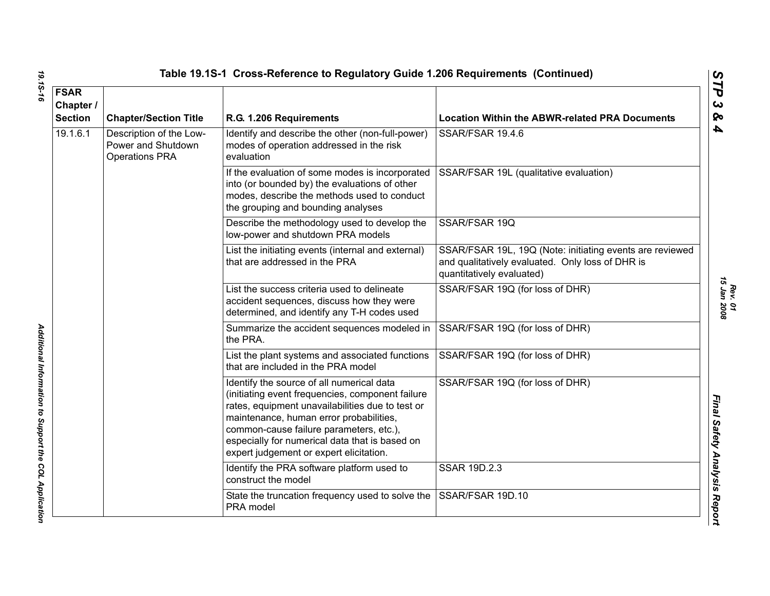| <b>FSAR</b>                                           |                                                                        |                                                                                                                                                                                                                                                                                                                                      |                                                                                                                                           |
|-------------------------------------------------------|------------------------------------------------------------------------|--------------------------------------------------------------------------------------------------------------------------------------------------------------------------------------------------------------------------------------------------------------------------------------------------------------------------------------|-------------------------------------------------------------------------------------------------------------------------------------------|
| Chapter /<br><b>Section</b>                           | <b>Chapter/Section Title</b>                                           | R.G. 1.206 Requirements                                                                                                                                                                                                                                                                                                              | <b>Location Within the ABWR-related PRA Documents</b>                                                                                     |
| 19.1.6.1                                              | Description of the Low-<br>Power and Shutdown<br><b>Operations PRA</b> | Identify and describe the other (non-full-power)<br>modes of operation addressed in the risk<br>evaluation                                                                                                                                                                                                                           | SSAR/FSAR 19.4.6                                                                                                                          |
|                                                       |                                                                        | If the evaluation of some modes is incorporated<br>into (or bounded by) the evaluations of other<br>modes, describe the methods used to conduct<br>the grouping and bounding analyses                                                                                                                                                | SSAR/FSAR 19L (qualitative evaluation)                                                                                                    |
|                                                       |                                                                        | Describe the methodology used to develop the<br>low-power and shutdown PRA models                                                                                                                                                                                                                                                    | SSAR/FSAR 19Q                                                                                                                             |
|                                                       |                                                                        | List the initiating events (internal and external)<br>that are addressed in the PRA                                                                                                                                                                                                                                                  | SSAR/FSAR 19L, 19Q (Note: initiating events are reviewed<br>and qualitatively evaluated. Only loss of DHR is<br>quantitatively evaluated) |
|                                                       |                                                                        | List the success criteria used to delineate<br>accident sequences, discuss how they were<br>determined, and identify any T-H codes used                                                                                                                                                                                              | SSAR/FSAR 19Q (for loss of DHR)                                                                                                           |
|                                                       |                                                                        | Summarize the accident sequences modeled in<br>the PRA.                                                                                                                                                                                                                                                                              | SSAR/FSAR 19Q (for loss of DHR)                                                                                                           |
| Additional Information to Support the COL Application |                                                                        | List the plant systems and associated functions<br>that are included in the PRA model                                                                                                                                                                                                                                                | SSAR/FSAR 19Q (for loss of DHR)                                                                                                           |
|                                                       |                                                                        | Identify the source of all numerical data<br>(initiating event frequencies, component failure<br>rates, equipment unavailabilities due to test or<br>maintenance, human error probabilities,<br>common-cause failure parameters, etc.),<br>especially for numerical data that is based on<br>expert judgement or expert elicitation. | SSAR/FSAR 19Q (for loss of DHR)                                                                                                           |
|                                                       |                                                                        | Identify the PRA software platform used to<br>construct the model                                                                                                                                                                                                                                                                    | <b>SSAR 19D.2.3</b>                                                                                                                       |
|                                                       |                                                                        | State the truncation frequency used to solve the<br>PRA model                                                                                                                                                                                                                                                                        | SSAR/FSAR 19D.10                                                                                                                          |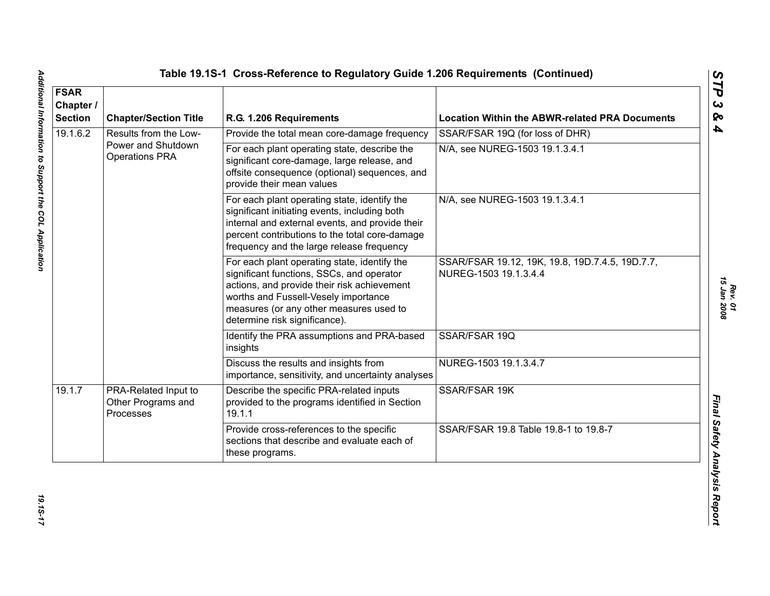| <b>FSAR</b><br>Chapter /<br><b>Section</b> | <b>Chapter/Section Title</b>                            | R.G. 1.206 Requirements                                                                                                                                                                                                                                      | <b>Location Within the ABWR-related PRA Documents</b>                    |
|--------------------------------------------|---------------------------------------------------------|--------------------------------------------------------------------------------------------------------------------------------------------------------------------------------------------------------------------------------------------------------------|--------------------------------------------------------------------------|
| 19.1.6.2                                   | Results from the Low-                                   | Provide the total mean core-damage frequency                                                                                                                                                                                                                 | SSAR/FSAR 19Q (for loss of DHR)                                          |
|                                            | Power and Shutdown<br><b>Operations PRA</b>             | For each plant operating state, describe the<br>significant core-damage, large release, and<br>offsite consequence (optional) sequences, and<br>provide their mean values                                                                                    | N/A, see NUREG-1503 19.1.3.4.1                                           |
|                                            |                                                         | For each plant operating state, identify the<br>significant initiating events, including both<br>internal and external events, and provide their<br>percent contributions to the total core-damage<br>frequency and the large release frequency              | N/A, see NUREG-1503 19.1.3.4.1                                           |
|                                            |                                                         | For each plant operating state, identify the<br>significant functions, SSCs, and operator<br>actions, and provide their risk achievement<br>worths and Fussell-Vesely importance<br>measures (or any other measures used to<br>determine risk significance). | SSAR/FSAR 19.12, 19K, 19.8, 19D.7.4.5, 19D.7.7,<br>NUREG-1503 19.1.3.4.4 |
|                                            |                                                         | Identify the PRA assumptions and PRA-based<br>insights                                                                                                                                                                                                       | SSAR/FSAR 19Q                                                            |
|                                            |                                                         | Discuss the results and insights from<br>importance, sensitivity, and uncertainty analyses                                                                                                                                                                   | NUREG-1503 19.1.3.4.7                                                    |
| 19.1.7                                     | PRA-Related Input to<br>Other Programs and<br>Processes | Describe the specific PRA-related inputs<br>provided to the programs identified in Section<br>19.1.1                                                                                                                                                         | SSAR/FSAR 19K                                                            |
|                                            |                                                         | Provide cross-references to the specific<br>sections that describe and evaluate each of<br>these programs.                                                                                                                                                   | SSAR/FSAR 19.8 Table 19.8-1 to 19.8-7                                    |

19.15-17

*Rev. 01*<br>15 Jan 2008 *15 Jan 2008*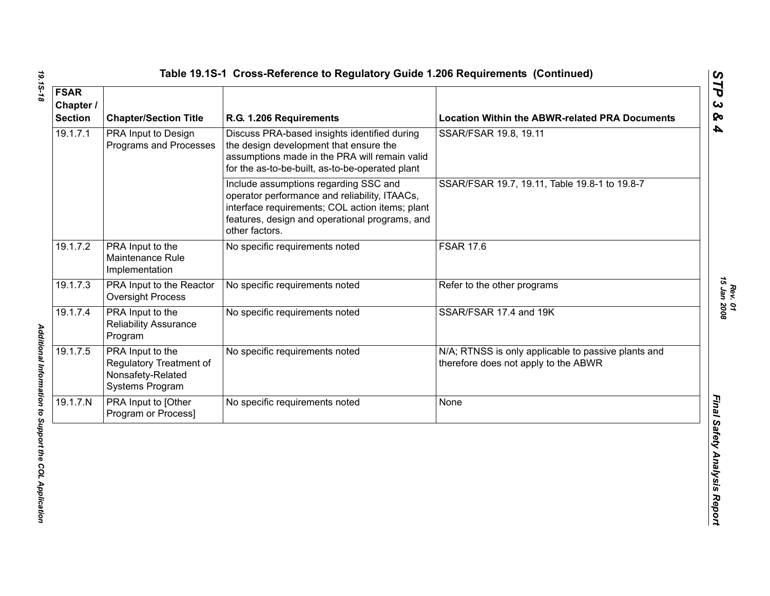| <b>FSAR</b><br>Chapter /<br><b>Section</b> | <b>Chapter/Section Title</b>                                                        | R.G. 1.206 Requirements                                                                                                                                                                                       | <b>Location Within the ABWR-related PRA Documents</b>                                       |
|--------------------------------------------|-------------------------------------------------------------------------------------|---------------------------------------------------------------------------------------------------------------------------------------------------------------------------------------------------------------|---------------------------------------------------------------------------------------------|
| 19.1.7.1                                   | PRA Input to Design<br>Programs and Processes                                       | Discuss PRA-based insights identified during<br>the design development that ensure the<br>assumptions made in the PRA will remain valid<br>for the as-to-be-built, as-to-be-operated plant                    | SSAR/FSAR 19.8, 19.11                                                                       |
|                                            |                                                                                     | Include assumptions regarding SSC and<br>operator performance and reliability, ITAACs,<br>interface requirements; COL action items; plant<br>features, design and operational programs, and<br>other factors. | SSAR/FSAR 19.7, 19.11, Table 19.8-1 to 19.8-7                                               |
| 19.1.7.2                                   | PRA Input to the<br>Maintenance Rule<br>Implementation                              | No specific requirements noted                                                                                                                                                                                | <b>FSAR 17.6</b>                                                                            |
| 19.1.7.3                                   | PRA Input to the Reactor<br><b>Oversight Process</b>                                | No specific requirements noted                                                                                                                                                                                | Refer to the other programs                                                                 |
| 19.1.7.4                                   | PRA Input to the<br>Reliability Assurance<br>Program                                | No specific requirements noted                                                                                                                                                                                | SSAR/FSAR 17.4 and 19K                                                                      |
| 19.1.7.5                                   | PRA Input to the<br>Regulatory Treatment of<br>Nonsafety-Related<br>Systems Program | No specific requirements noted                                                                                                                                                                                | N/A; RTNSS is only applicable to passive plants and<br>therefore does not apply to the ABWR |
| 19.1.7.N                                   | PRA Input to [Other<br>Program or Process]                                          | No specific requirements noted                                                                                                                                                                                | None                                                                                        |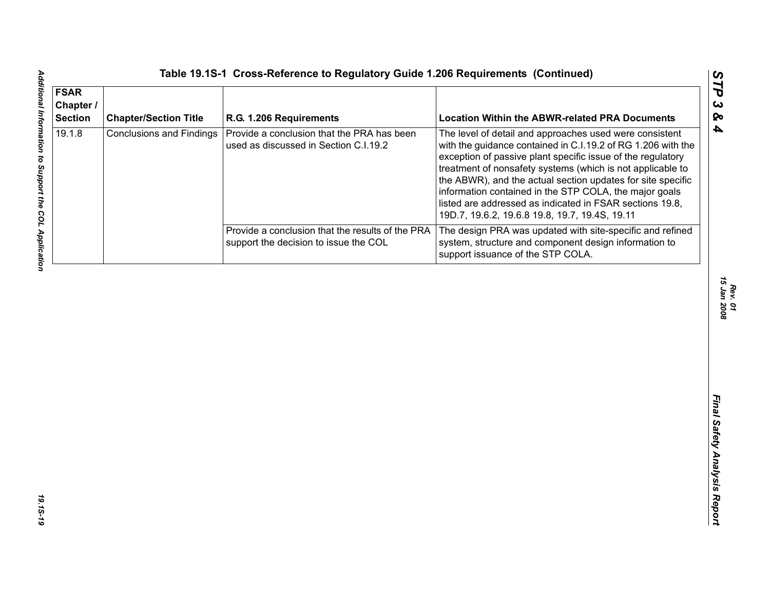| <b>FSAR</b><br>Chapter /<br><b>Section</b> | <b>Chapter/Section Title</b>    | R.G. 1.206 Requirements                                                                   | <b>Location Within the ABWR-related PRA Documents</b>                                                                                                                                                                                                                                                                                                                                                                                                                                       |
|--------------------------------------------|---------------------------------|-------------------------------------------------------------------------------------------|---------------------------------------------------------------------------------------------------------------------------------------------------------------------------------------------------------------------------------------------------------------------------------------------------------------------------------------------------------------------------------------------------------------------------------------------------------------------------------------------|
| 19.1.8                                     | <b>Conclusions and Findings</b> | Provide a conclusion that the PRA has been<br>used as discussed in Section C.I.19.2       | The level of detail and approaches used were consistent<br>with the guidance contained in C.I.19.2 of RG 1.206 with the<br>exception of passive plant specific issue of the regulatory<br>treatment of nonsafety systems (which is not applicable to<br>the ABWR), and the actual section updates for site specific<br>information contained in the STP COLA, the major goals<br>listed are addressed as indicated in FSAR sections 19.8,<br>19D.7, 19.6.2, 19.6.8 19.8, 19.7, 19.4S, 19.11 |
|                                            |                                 | Provide a conclusion that the results of the PRA<br>support the decision to issue the COL | The design PRA was updated with site-specific and refined<br>system, structure and component design information to<br>support issuance of the STP COLA.                                                                                                                                                                                                                                                                                                                                     |
|                                            |                                 |                                                                                           |                                                                                                                                                                                                                                                                                                                                                                                                                                                                                             |
|                                            |                                 |                                                                                           |                                                                                                                                                                                                                                                                                                                                                                                                                                                                                             |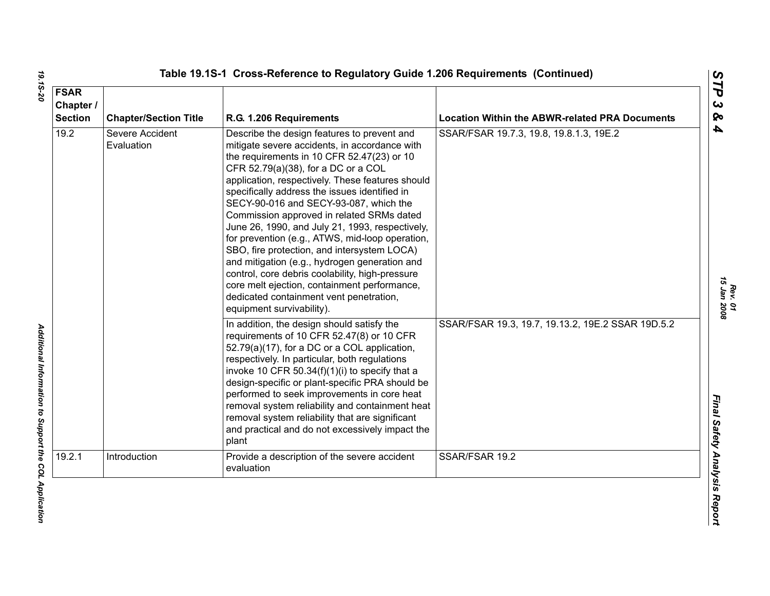| <b>FSAR</b><br>Chapter /<br><b>Section</b> | <b>Chapter/Section Title</b>  | R.G. 1.206 Requirements                                                                                                                                                                                                                                                                                                                                                                                                                                                                                                                                                                                                                                                                                                                                        | <b>Location Within the ABWR-related PRA Documents</b> |
|--------------------------------------------|-------------------------------|----------------------------------------------------------------------------------------------------------------------------------------------------------------------------------------------------------------------------------------------------------------------------------------------------------------------------------------------------------------------------------------------------------------------------------------------------------------------------------------------------------------------------------------------------------------------------------------------------------------------------------------------------------------------------------------------------------------------------------------------------------------|-------------------------------------------------------|
| 19.2                                       | Severe Accident<br>Evaluation | Describe the design features to prevent and<br>mitigate severe accidents, in accordance with<br>the requirements in 10 CFR 52.47(23) or 10<br>CFR 52.79(a)(38), for a DC or a COL<br>application, respectively. These features should<br>specifically address the issues identified in<br>SECY-90-016 and SECY-93-087, which the<br>Commission approved in related SRMs dated<br>June 26, 1990, and July 21, 1993, respectively,<br>for prevention (e.g., ATWS, mid-loop operation,<br>SBO, fire protection, and intersystem LOCA)<br>and mitigation (e.g., hydrogen generation and<br>control, core debris coolability, high-pressure<br>core melt ejection, containment performance,<br>dedicated containment vent penetration,<br>equipment survivability). | SSAR/FSAR 19.7.3, 19.8, 19.8.1.3, 19E.2               |
|                                            |                               | In addition, the design should satisfy the<br>requirements of 10 CFR 52.47(8) or 10 CFR<br>52.79(a)(17), for a DC or a COL application,<br>respectively. In particular, both regulations<br>invoke 10 CFR 50.34 $(f)(1)(i)$ to specify that a<br>design-specific or plant-specific PRA should be<br>performed to seek improvements in core heat<br>removal system reliability and containment heat<br>removal system reliability that are significant<br>and practical and do not excessively impact the<br>plant                                                                                                                                                                                                                                              | SSAR/FSAR 19.3, 19.7, 19.13.2, 19E.2 SSAR 19D.5.2     |
| 19.2.1                                     | Introduction                  | Provide a description of the severe accident<br>evaluation                                                                                                                                                                                                                                                                                                                                                                                                                                                                                                                                                                                                                                                                                                     | SSAR/FSAR 19.2                                        |

*Rev. 01*<br>15 Jan 2008 *15 Jan 2008*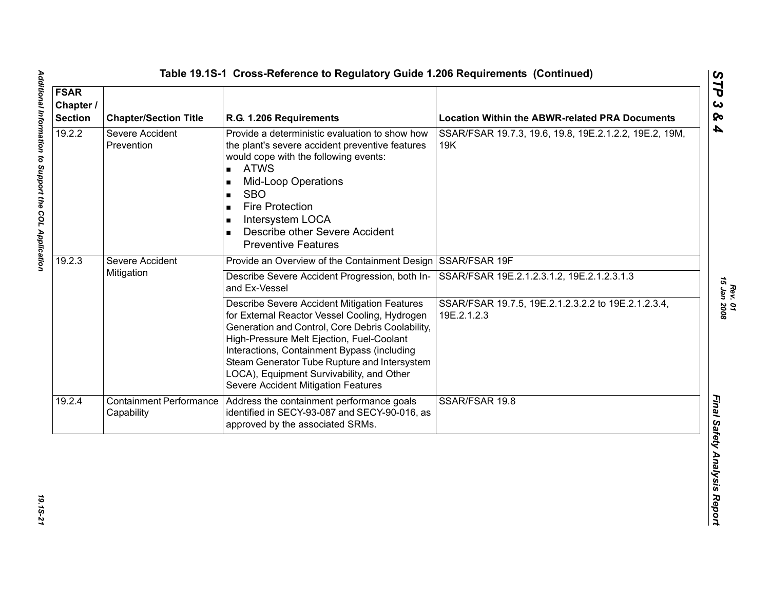| <b>FSAR</b><br>Chapter /<br><b>Section</b> | <b>Chapter/Section Title</b>          | R.G. 1.206 Requirements                                                                                                                                                                                                                                                                                                                                                           | <b>Location Within the ABWR-related PRA Documents</b>              |
|--------------------------------------------|---------------------------------------|-----------------------------------------------------------------------------------------------------------------------------------------------------------------------------------------------------------------------------------------------------------------------------------------------------------------------------------------------------------------------------------|--------------------------------------------------------------------|
| 19.2.2                                     | Severe Accident<br>Prevention         | Provide a deterministic evaluation to show how<br>the plant's severe accident preventive features<br>would cope with the following events:<br><b>ATWS</b><br>$\blacksquare$<br><b>Mid-Loop Operations</b><br><b>SBO</b><br>$\blacksquare$<br><b>Fire Protection</b><br>$\blacksquare$<br>Intersystem LOCA<br>п<br>Describe other Severe Accident<br><b>Preventive Features</b>    | SSAR/FSAR 19.7.3, 19.6, 19.8, 19E.2.1.2.2, 19E.2, 19M,<br>19K      |
| 19.2.3                                     | Severe Accident                       | Provide an Overview of the Containment Design                                                                                                                                                                                                                                                                                                                                     | SSAR/FSAR 19F                                                      |
|                                            | Mitigation                            | Describe Severe Accident Progression, both In-<br>and Ex-Vessel                                                                                                                                                                                                                                                                                                                   | SSAR/FSAR 19E.2.1.2.3.1.2, 19E.2.1.2.3.1.3                         |
|                                            |                                       | Describe Severe Accident Mitigation Features<br>for External Reactor Vessel Cooling, Hydrogen<br>Generation and Control, Core Debris Coolability,<br>High-Pressure Melt Ejection, Fuel-Coolant<br>Interactions, Containment Bypass (including<br>Steam Generator Tube Rupture and Intersystem<br>LOCA), Equipment Survivability, and Other<br>Severe Accident Mitigation Features | SSAR/FSAR 19.7.5, 19E.2.1.2.3.2.2 to 19E.2.1.2.3.4,<br>19E.2.1.2.3 |
| 19.2.4                                     | Containment Performance<br>Capability | Address the containment performance goals<br>identified in SECY-93-087 and SECY-90-016, as<br>approved by the associated SRMs.                                                                                                                                                                                                                                                    | SSAR/FSAR 19.8                                                     |

*Additional Information to Support the COL Application 19.1S-21* 19.15-21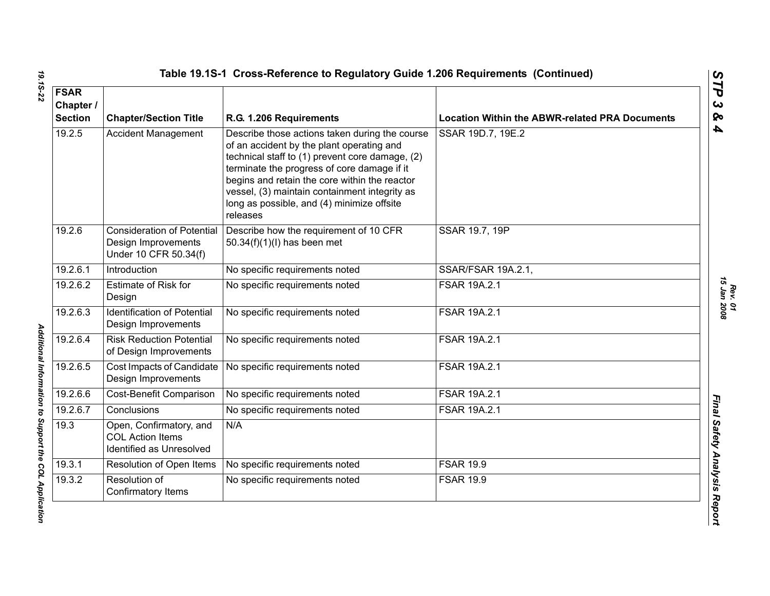| <b>FSAR</b><br>Chapter /<br><b>Section</b> | <b>Chapter/Section Title</b>                                                      | R.G. 1.206 Requirements                                                                                                                                                                                                                                                                                                                                   | <b>Location Within the ABWR-related PRA Documents</b> |
|--------------------------------------------|-----------------------------------------------------------------------------------|-----------------------------------------------------------------------------------------------------------------------------------------------------------------------------------------------------------------------------------------------------------------------------------------------------------------------------------------------------------|-------------------------------------------------------|
| 19.2.5                                     | <b>Accident Management</b>                                                        | Describe those actions taken during the course<br>of an accident by the plant operating and<br>technical staff to (1) prevent core damage, (2)<br>terminate the progress of core damage if it<br>begins and retain the core within the reactor<br>vessel, (3) maintain containment integrity as<br>long as possible, and (4) minimize offsite<br>releases | SSAR 19D.7, 19E.2                                     |
| 19.2.6                                     | <b>Consideration of Potential</b><br>Design Improvements<br>Under 10 CFR 50.34(f) | Describe how the requirement of 10 CFR<br>50.34(f)(1)(l) has been met                                                                                                                                                                                                                                                                                     | SSAR 19.7, 19P                                        |
| 19.2.6.1                                   | Introduction                                                                      | No specific requirements noted                                                                                                                                                                                                                                                                                                                            | SSAR/FSAR 19A.2.1,                                    |
| 19.2.6.2                                   | <b>Estimate of Risk for</b><br>Design                                             | No specific requirements noted                                                                                                                                                                                                                                                                                                                            | FSAR 19A.2.1                                          |
| 19.2.6.3                                   | <b>Identification of Potential</b><br>Design Improvements                         | No specific requirements noted                                                                                                                                                                                                                                                                                                                            | FSAR 19A.2.1                                          |
| 19.2.6.4                                   | <b>Risk Reduction Potential</b><br>of Design Improvements                         | No specific requirements noted                                                                                                                                                                                                                                                                                                                            | <b>FSAR 19A.2.1</b>                                   |
| 19.2.6.5                                   | Cost Impacts of Candidate<br>Design Improvements                                  | No specific requirements noted                                                                                                                                                                                                                                                                                                                            | FSAR 19A.2.1                                          |
| 19.2.6.6                                   | Cost-Benefit Comparison                                                           | No specific requirements noted                                                                                                                                                                                                                                                                                                                            | <b>FSAR 19A.2.1</b>                                   |
| 19.2.6.7                                   | Conclusions                                                                       | No specific requirements noted                                                                                                                                                                                                                                                                                                                            | <b>FSAR 19A.2.1</b>                                   |
| 19.3                                       | Open, Confirmatory, and<br><b>COL Action Items</b><br>Identified as Unresolved    | N/A                                                                                                                                                                                                                                                                                                                                                       |                                                       |
| 19.3.1                                     | Resolution of Open Items                                                          | No specific requirements noted                                                                                                                                                                                                                                                                                                                            | <b>FSAR 19.9</b>                                      |
| 19.3.2                                     | Resolution of<br>Confirmatory Items                                               | No specific requirements noted                                                                                                                                                                                                                                                                                                                            | <b>FSAR 19.9</b>                                      |

Additional Information to Support the COL Application